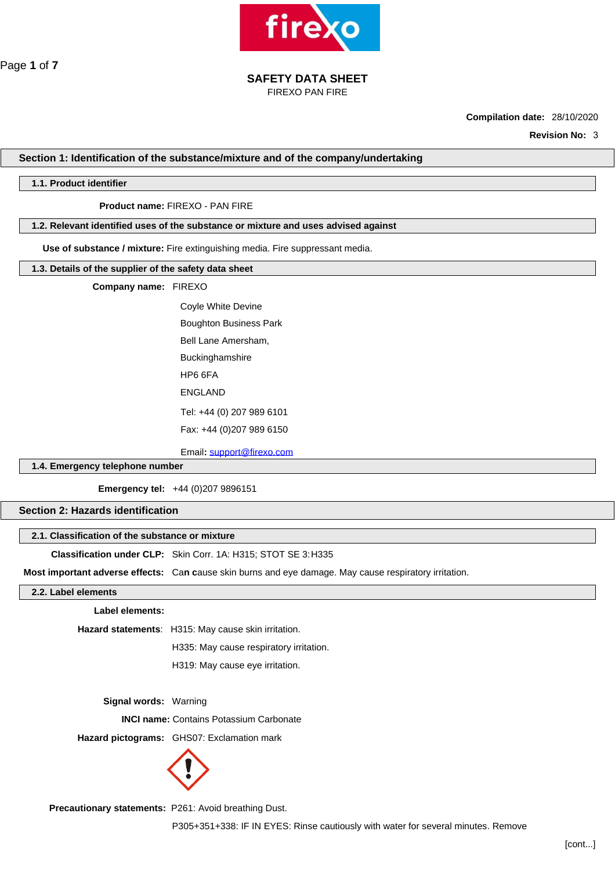

FIREXO PAN FIRE

**Compilation date:** 28/10/2020

**Revision No:** 3

# **Section 1: Identification of the substance/mixture and of the company/undertaking**

# **1.1. Product identifier**

# **Product name:** FIREXO - PAN FIRE

# **1.2. Relevant identified uses of the substance or mixture and uses advised against**

**Use of substance / mixture:** Fire extinguishing media. Fire suppressant media.

#### **1.3. Details of the supplier of the safety data sheet**

### **Company name:** FIREXO

Coyle White Devine Boughton Business Park Bell Lane Amersham, Buckinghamshire HP6 6FA ENGLAND Tel: +44 (0) 207 989 6101 Fax: +44 (0)207 989 6150

Email**:** [support@firexo.com](mailto:support@firexo.com)

# **1.4. Emergency telephone number**

**Emergency tel:** +44 (0)207 9896151

# **Section 2: Hazards identification**

# **2.1. Classification of the substance or mixture**

**Classification under CLP:** Skin Corr. 1A: H315; STOT SE 3:H335

**Most important adverse effects:** Ca**n c**ause skin burns and eye damage. May cause respiratory irritation.

#### **2.2. Label elements**

**Label elements:**

**Hazard statements**: H315: May cause skin irritation.

H335: May cause respiratory irritation.

H319: May cause eye irritation.

**Signal words:** Warning

 **INCI name:** Contains Potassium Carbonate

**Hazard pictograms:** GHS07: Exclamation mark



**Precautionary statements:** P261: Avoid breathing Dust.

P305+351+338: IF IN EYES: Rinse cautiously with water for several minutes. Remove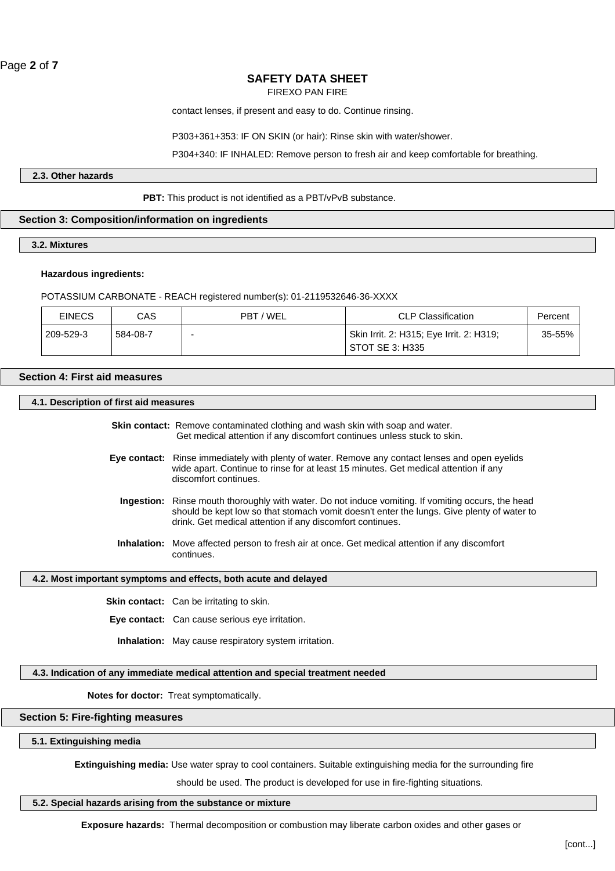FIREXO PAN FIRE

contact lenses, if present and easy to do. Continue rinsing.

P303+361+353: IF ON SKIN (or hair): Rinse skin with water/shower.

P304+340: IF INHALED: Remove person to fresh air and keep comfortable for breathing.

**2.3. Other hazards**

# PBT: This product is not identified as a PBT/vPvB substance.

# **Section 3: Composition/information on ingredients**

## **3.2. Mixtures**

#### **Hazardous ingredients:**

POTASSIUM CARBONATE - REACH registered number(s): 01-2119532646-36-XXXX

| <b>EINECS</b> | CAS      | PBT / WEL | <b>CLP Classification</b>                | Percent |  |
|---------------|----------|-----------|------------------------------------------|---------|--|
| 209-529-3     | 584-08-7 |           | Skin Irrit. 2: H315; Eye Irrit. 2: H319; | 35-55%  |  |
|               |          |           | STOT SE 3: H335                          |         |  |

#### **Section 4: First aid measures**

# **4.1. Description of first aid measures**

**Skin contact:** Remove contaminated clothing and wash skin with soap and water. Get medical attention if any discomfort continues unless stuck to skin.

- **Eye contact:** Rinse immediately with plenty of water. Remove any contact lenses and open eyelids wide apart. Continue to rinse for at least 15 minutes. Get medical attention if any discomfort continues.
	- **Ingestion:** Rinse mouth thoroughly with water. Do not induce vomiting. If vomiting occurs, the head should be kept low so that stomach vomit doesn't enter the lungs. Give plenty of water to drink. Get medical attention if any discomfort continues.
	- **Inhalation:** Move affected person to fresh air at once. Get medical attention if any discomfort continues.

#### **4.2. Most important symptoms and effects, both acute and delayed**

**Skin contact:** Can be irritating to skin.

**Eye contact:** Can cause serious eye irritation.

 **Inhalation:** May cause respiratory system irritation.

#### **4.3. Indication of any immediate medical attention and special treatment needed**

**Notes for doctor:** Treat symptomatically.

# **Section 5: Fire-fighting measures**

**5.1. Extinguishing media**

**Extinguishing media:** Use water spray to cool containers. Suitable extinguishing media for the surrounding fire

should be used. The product is developed for use in fire-fighting situations.

# **5.2. Special hazards arising from the substance or mixture**

**Exposure hazards:** Thermal decomposition or combustion may liberate carbon oxides and other gases or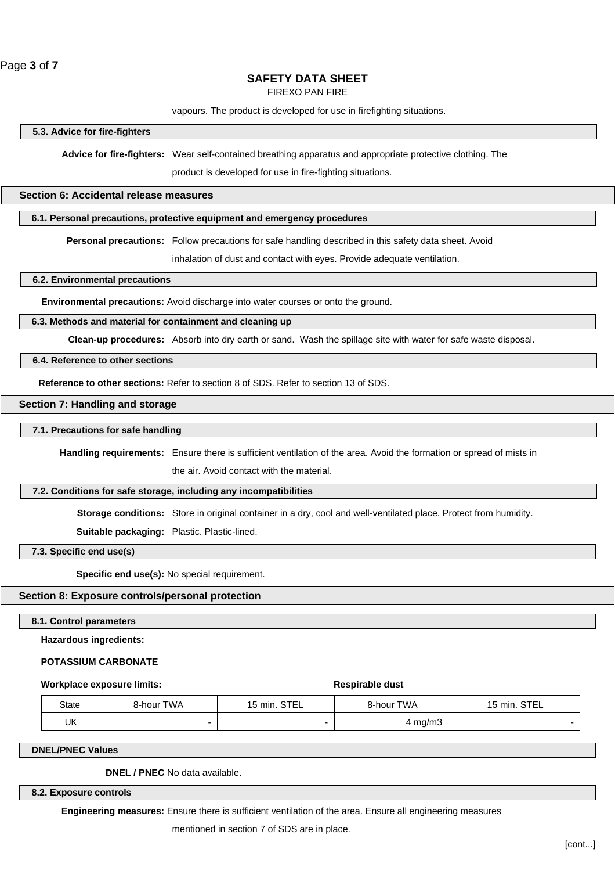FIREXO PAN FIRE

vapours. The product is developed for use in firefighting situations.

#### **5.3. Advice for fire-fighters**

**Advice for fire-fighters:** Wear self-contained breathing apparatus and appropriate protective clothing. The

product is developed for use in fire-fighting situations.

#### **Section 6: Accidental release measures**

#### **6.1. Personal precautions, protective equipment and emergency procedures**

**Personal precautions:** Follow precautions for safe handling described in this safety data sheet. Avoid

inhalation of dust and contact with eyes. Provide adequate ventilation.

# **6.2. Environmental precautions**

**Environmental precautions:** Avoid discharge into water courses or onto the ground.

# **6.3. Methods and material for containment and cleaning up**

**Clean-up procedures:** Absorb into dry earth or sand. Wash the spillage site with water for safe waste disposal.

# **6.4. Reference to other sections**

**Reference to other sections:** Refer to section 8 of SDS. Refer to section 13 of SDS.

# **Section 7: Handling and storage**

#### **7.1. Precautions for safe handling**

**Handling requirements:** Ensure there is sufficient ventilation of the area. Avoid the formation or spread of mists in

the air. Avoid contact with the material.

# **7.2. Conditions for safe storage, including any incompatibilities**

**Storage conditions:** Store in original container in a dry, cool and well-ventilated place. Protect from humidity.

**Suitable packaging:** Plastic. Plastic-lined.

**7.3. Specific end use(s)**

**Specific end use(s):** No special requirement.

# **Section 8: Exposure controls/personal protection**

#### **8.1. Control parameters**

**Hazardous ingredients:**

# **POTASSIUM CARBONATE**

#### **Workplace exposure limits:**  $\qquad \qquad$  **Respirable dust**

| State | 8-hour TWA | 15 min. STEL | 8-hour TWA | 15 min. STEL |
|-------|------------|--------------|------------|--------------|
| UK    |            |              | mg/m3      |              |

**DNEL/PNEC Values**

**DNEL / PNEC** No data available.

**8.2. Exposure controls**

**Engineering measures:** Ensure there is sufficient ventilation of the area. Ensure all engineering measures

mentioned in section 7 of SDS are in place.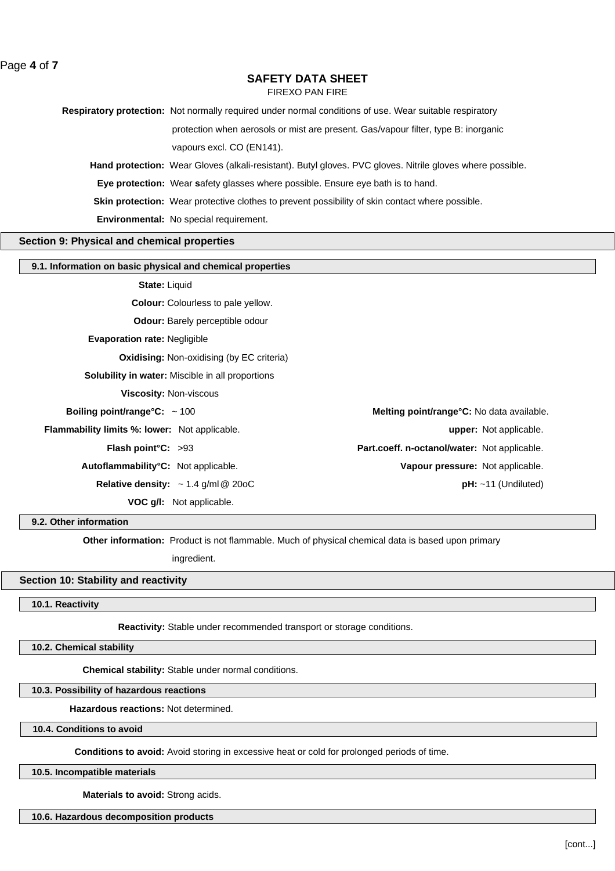FIREXO PAN FIRE

**Respiratory protection:** Not normally required under normal conditions of use. Wear suitable respiratory

protection when aerosols or mist are present. Gas/vapour filter, type B: inorganic

vapours excl. CO (EN141).

**Hand protection:** Wear Gloves (alkali-resistant). Butyl gloves. PVC gloves. Nitrile gloves where possible.

**Eye protection:** Wear **s**afety glasses where possible. Ensure eye bath is to hand.

**Skin protection:** Wear protective clothes to prevent possibility of skin contact where possible.

**Environmental:** No special requirement.

#### **Section 9: Physical and chemical properties**

## **9.1. Information on basic physical and chemical properties**

**State:** Liquid

**Colour:** Colourless to pale yellow.

**Odour:** Barely perceptible odour

**Evaporation rate:** Negligible

**Oxidising: Non-oxidising (by EC criteria)** 

**Solubility in water:** Miscible in all proportions

**Viscosity:** Non-viscous

**Boiling point/range°C:**  $\sim$  100 **Melting point/range°C:** No data available.

**Flammability limits %: lower:** Not applicable. **upper:** Not applicable.

**Flash point°C:** >93 **Part.coeff. n-octanol/water:** Not applicable.

**Autoflammability°C:** Not applicable. **Vapour pressure:** Not applicable.

**Relative density:** ~ 1.4 g/ml@ 20oC **pH:** ~11 (Undiluted)

**VOC g/l:** Not applicable.

#### **9.2. Other information**

**Other information:** Product is not flammable. Much of physical chemical data is based upon primary

ingredient.

### **Section 10: Stability and reactivity**

# **10.1. Reactivity**

**Reactivity:** Stable under recommended transport or storage conditions.

**10.2. Chemical stability**

**Chemical stability:** Stable under normal conditions.

#### **10.3. Possibility of hazardous reactions**

**Hazardous reactions:** Not determined.

**10.4. Conditions to avoid**

**Conditions to avoid:** Avoid storing in excessive heat or cold for prolonged periods of time.

#### **10.5. Incompatible materials**

**Materials to avoid:** Strong acids.

**10.6. Hazardous decomposition products**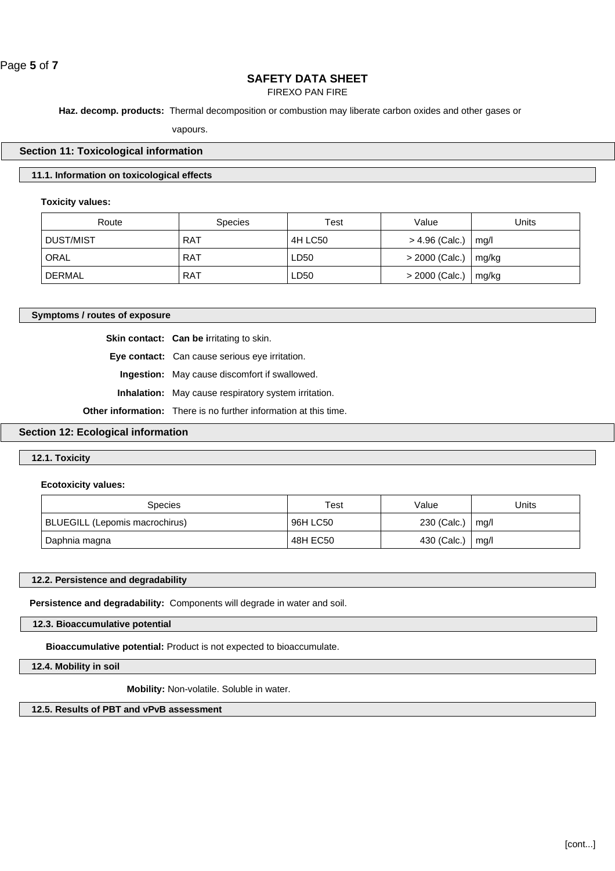Page **5** of **7**

# **SAFETY DATA SHEET**

FIREXO PAN FIRE

**Haz. decomp. products:** Thermal decomposition or combustion may liberate carbon oxides and other gases or

vapours.

#### **Section 11: Toxicological information**

# **11.1. Information on toxicological effects**

#### **Toxicity values:**

| Route            | <b>Species</b> | Test    | Value            | Units |
|------------------|----------------|---------|------------------|-------|
| <b>DUST/MIST</b> | <b>RAT</b>     | 4H LC50 | > 4.96 (Calc.)   | mq/l  |
| ORAL             | <b>RAT</b>     | LD50    | $> 2000$ (Calc.) | mg/kg |
| <b>DERMAL</b>    | <b>RAT</b>     | LD50    | $>$ 2000 (Calc.) | mg/kg |

#### **Symptoms / routes of exposure**

**Skin contact:** Can be irritating to skin.

**Eye contact:** Can cause serious eye irritation.

**Ingestion:** May cause discomfort if swallowed.

**Inhalation:** May cause respiratory system irritation.

**Other information:** There is no further information at this time.

# **Section 12: Ecological information**

# **12.1. Toxicity**

#### **Ecotoxicity values:**

| <b>Species</b>                 | Test     | Value                   | Jnits |
|--------------------------------|----------|-------------------------|-------|
| BLUEGILL (Lepomis macrochirus) | 96H LC50 | 230 (Calc.) $\mid$ mg/l |       |
| Daphnia magna                  | 48H EC50 | 430 (Calc.)             | mq/l  |

#### **12.2. Persistence and degradability**

**Persistence and degradability:** Components will degrade in water and soil.

**12.3. Bioaccumulative potential**

**Bioaccumulative potential:** Product is not expected to bioaccumulate.

**12.4. Mobility in soil**

**Mobility:** Non-volatile. Soluble in water.

**12.5. Results of PBT and vPvB assessment**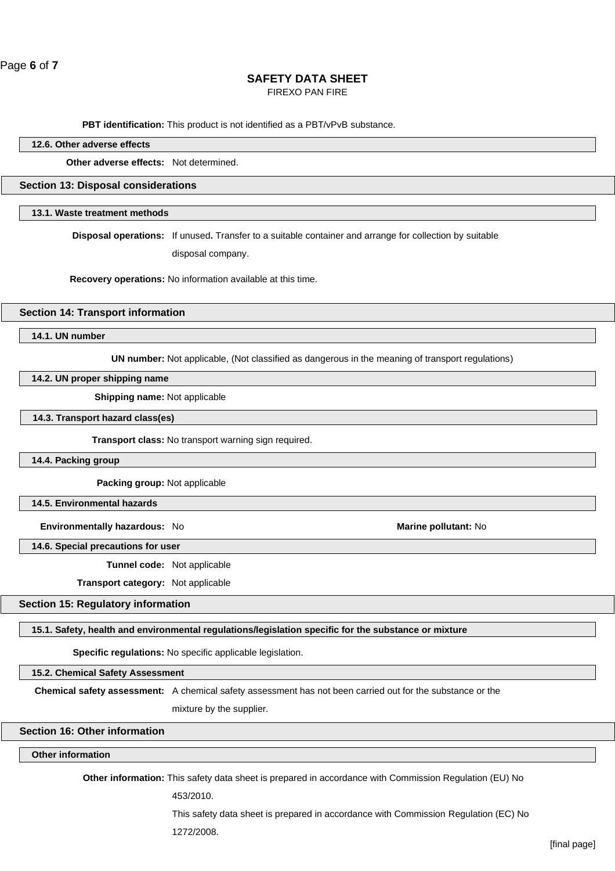FIREXO PAN FIRE

**PBT identification:** This product is not identified as a PBT/vPvB substance.

| "^<br>$\mathbf{A}$<br>100<br>ettects<br>Utne<br>™ч<br>14.O<br>. |
|-----------------------------------------------------------------|
|                                                                 |

**Other adverse effects:** Not determined.

#### **Section 13: Disposal considerations**

# **13.1. Waste treatment methods**

**Disposal operations:** If unused**.** Transfer to a suitable container and arrange for collection by suitable

disposal company.

**Recovery operations:** No information available at this time.

# **Section 14: Transport information**

**14.1. UN number**

**UN number:** Not applicable, (Not classified as dangerous in the meaning of transport regulations)

# **14.2. UN proper shipping name**

**Shipping name:** Not applicable

**14.3. Transport hazard class(es)**

**Transport class:** No transport warning sign required.

**14.4. Packing group**

**Packing group:** Not applicable

**14.5. Environmental hazards**

**Environmentally hazardous:** No **Marine pollutant:** No

**14.6. Special precautions for user**

**Tunnel code:** Not applicable

**Transport category:** Not applicable

# **Section 15: Regulatory information**

**15.1. Safety, health and environmental regulations/legislation specific for the substance or mixture**

**Specific regulations:** No specific applicable legislation.

**15.2. Chemical Safety Assessment**

**Chemical safety assessment:** A chemical safety assessment has not been carried out for the substance or the

mixture by the supplier.

# **Section 16: Other information**

# **Other information**

**Other information:** This safety data sheet is prepared in accordance with Commission Regulation (EU) No

453/2010.

This safety data sheet is prepared in accordance with Commission Regulation (EC) No

1272/2008.